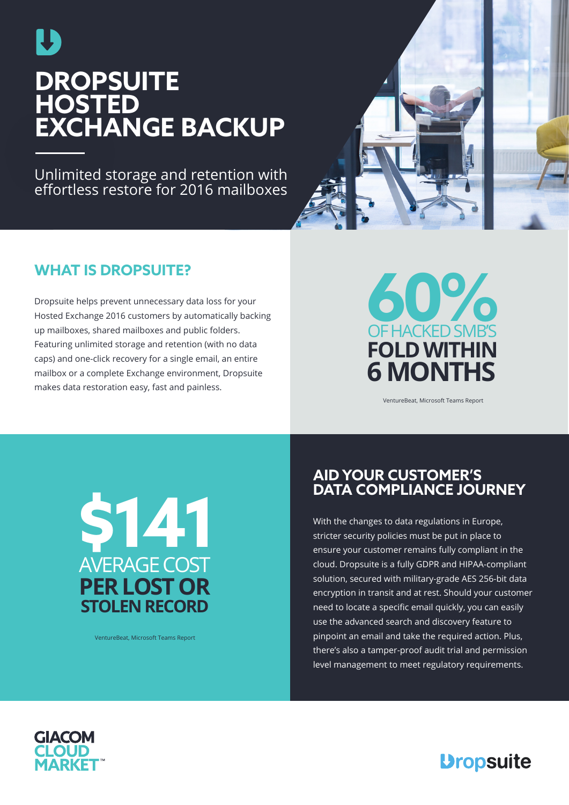

# **DROPSUITE HOSTED EXCHANGE BACKUP**

Unlimited storage and retention with effortless restore for 2016 mailboxes

## **WHAT IS DROPSUITE?**

Dropsuite helps prevent unnecessary data loss for your Hosted Exchange 2016 customers by automatically backing up mailboxes, shared mailboxes and public folders. Featuring unlimited storage and retention (with no data caps) and one-click recovery for a single email, an entire mailbox or a complete Exchange environment, Dropsuite makes data restoration easy, fast and painless.



VentureBeat, Microsoft Teams Report



VentureBeat, Microsoft Teams Report

## **AID YOUR CUSTOMER'S DATA COMPLIANCE JOURNEY**

With the changes to data regulations in Europe, stricter security policies must be put in place to ensure your customer remains fully compliant in the cloud. Dropsuite is a fully GDPR and HIPAA-compliant solution, secured with military-grade AES 256-bit data encryption in transit and at rest. Should your customer need to locate a specific email quickly, you can easily use the advanced search and discovery feature to pinpoint an email and take the required action. Plus, there's also a tamper-proof audit trial and permission level management to meet regulatory requirements.



## **Dropsuite**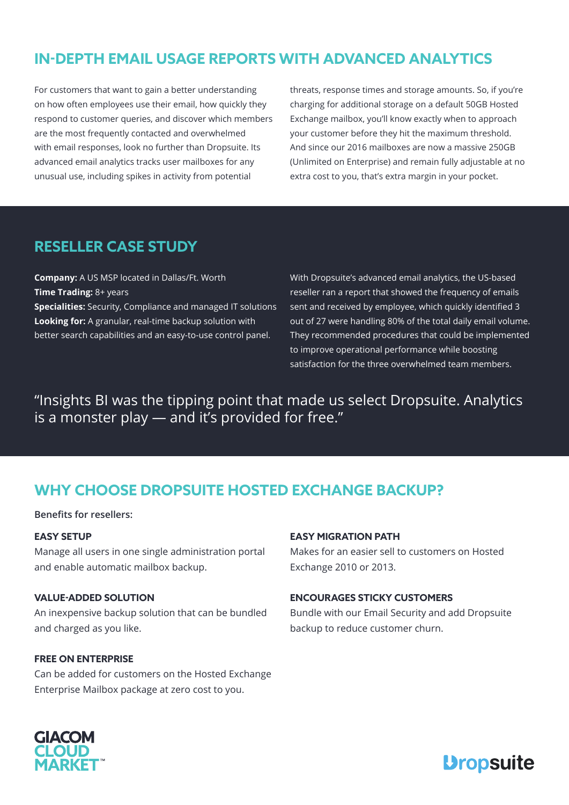## **IN-DEPTH EMAIL USAGE REPORTS WITH ADVANCED ANALYTICS**

For customers that want to gain a better understanding on how often employees use their email, how quickly they respond to customer queries, and discover which members are the most frequently contacted and overwhelmed with email responses, look no further than Dropsuite. Its advanced email analytics tracks user mailboxes for any unusual use, including spikes in activity from potential

threats, response times and storage amounts. So, if you're charging for additional storage on a default 50GB Hosted Exchange mailbox, you'll know exactly when to approach your customer before they hit the maximum threshold. And since our 2016 mailboxes are now a massive 250GB (Unlimited on Enterprise) and remain fully adjustable at no extra cost to you, that's extra margin in your pocket.

### **RESELLER CASE STUDY**

**Company:** A US MSP located in Dallas/Ft. Worth **Time Trading:** 8+ years **Specialities:** Security, Compliance and managed IT solutions **Looking for:** A granular, real-time backup solution with better search capabilities and an easy-to-use control panel.

With Dropsuite's advanced email analytics, the US-based reseller ran a report that showed the frequency of emails sent and received by employee, which quickly identified 3 out of 27 were handling 80% of the total daily email volume. They recommended procedures that could be implemented to improve operational performance while boosting satisfaction for the three overwhelmed team members.

"Insights BI was the tipping point that made us select Dropsuite. Analytics is a monster play — and it's provided for free."

### **WHY CHOOSE DROPSUITE HOSTED EXCHANGE BACKUP?**

**Benefits for resellers:**

### **EASY SETUP**

Manage all users in one single administration portal and enable automatic mailbox backup.

### **VALUE-ADDED SOLUTION**

An inexpensive backup solution that can be bundled and charged as you like.

#### **FREE ON ENTERPRISE**

Can be added for customers on the Hosted Exchange Enterprise Mailbox package at zero cost to you.

### **EASY MIGRATION PATH**

Makes for an easier sell to customers on Hosted Exchange 2010 or 2013.

#### **ENCOURAGES STICKY CUSTOMERS**

Bundle with our Email Security and add Dropsuite backup to reduce customer churn.



## **Dropsuite**